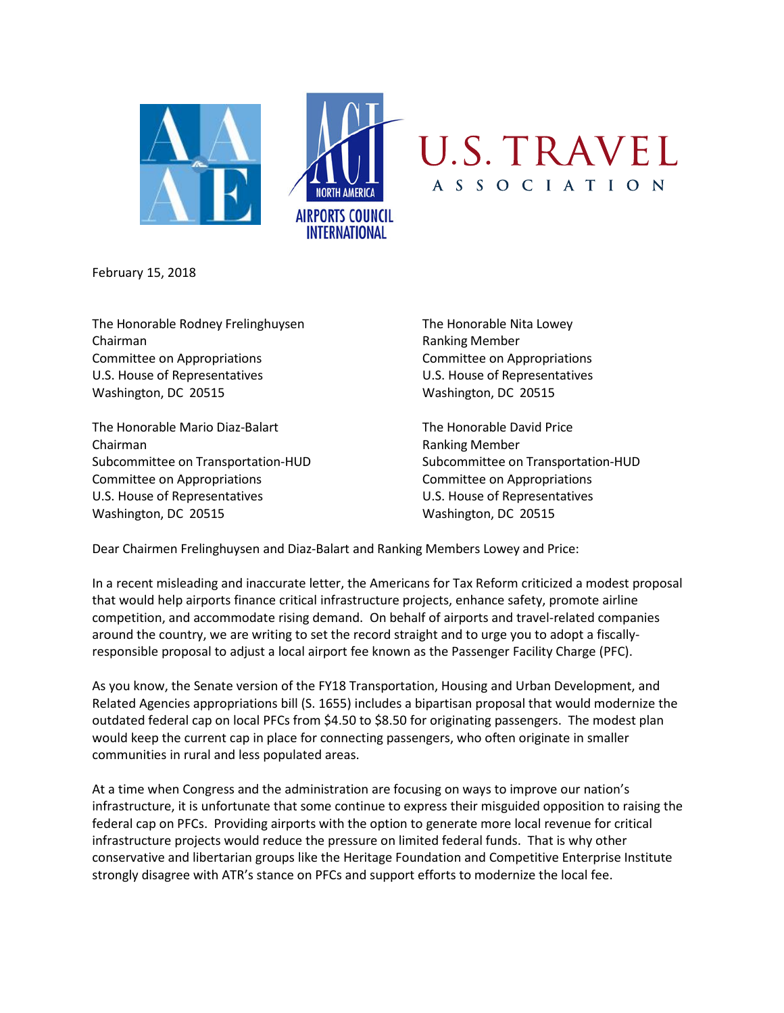

February 15, 2018

The Honorable Rodney Frelinghuysen The Honorable Nita Lowey Chairman Ranking Member Committee on Appropriations Committee on Appropriations U.S. House of Representatives U.S. House of Representatives Washington, DC 20515 Washington, DC 20515

The Honorable Mario Diaz-Balart The Honorable David Price Chairman **Chairman** Ranking Member Committee on Appropriations Committee on Appropriations U.S. House of Representatives U.S. House of Representatives Washington, DC 20515 Washington, DC 20515

Subcommittee on Transportation-HUD Subcommittee on Transportation-HUD

Dear Chairmen Frelinghuysen and Diaz-Balart and Ranking Members Lowey and Price:

In a recent misleading and inaccurate letter, the Americans for Tax Reform criticized a modest proposal that would help airports finance critical infrastructure projects, enhance safety, promote airline competition, and accommodate rising demand. On behalf of airports and travel-related companies around the country, we are writing to set the record straight and to urge you to adopt a fiscallyresponsible proposal to adjust a local airport fee known as the Passenger Facility Charge (PFC).

As you know, the Senate version of the FY18 Transportation, Housing and Urban Development, and Related Agencies appropriations bill (S. 1655) includes a bipartisan proposal that would modernize the outdated federal cap on local PFCs from \$4.50 to \$8.50 for originating passengers. The modest plan would keep the current cap in place for connecting passengers, who often originate in smaller communities in rural and less populated areas.

At a time when Congress and the administration are focusing on ways to improve our nation's infrastructure, it is unfortunate that some continue to express their misguided opposition to raising the federal cap on PFCs. Providing airports with the option to generate more local revenue for critical infrastructure projects would reduce the pressure on limited federal funds. That is why other conservative and libertarian groups like the Heritage Foundation and Competitive Enterprise Institute strongly disagree with ATR's stance on PFCs and support efforts to modernize the local fee.